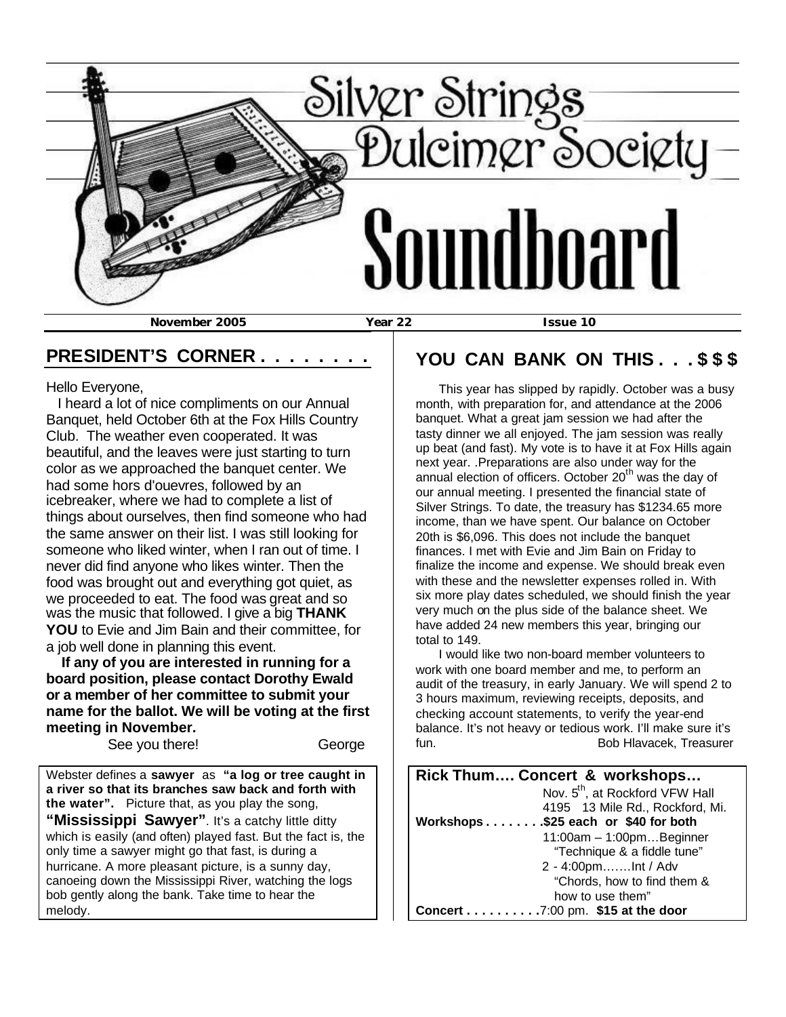

### **PRESIDENT'S CORNER . . . . . . . .**

Hello Everyone,

 I heard a lot of nice compliments on our Annual Banquet, held October 6th at the Fox Hills Country Club. The weather even cooperated. It was beautiful, and the leaves were just starting to turn color as we approached the banquet center. We had some hors d'ouevres, followed by an icebreaker, where we had to complete a list of things about ourselves, then find someone who had the same answer on their list. I was still looking for someone who liked winter, when I ran out of time. I never did find anyone who likes winter. Then the food was brought out and everything got quiet, as we proceeded to eat. The food was great and so was the music that followed. I give a big **THANK YOU** to Evie and Jim Bain and their committee, for a job well done in planning this event.

 **If any of you are interested in running for a board position, please contact Dorothy Ewald or a member of her committee to submit your name for the ballot. We will be voting at the first meeting in November.**

See you there! George

Webster defines a **sawyer** as **"a log or tree caught in a river so that its branches saw back and forth with the water".** Picture that, as you play the song, "Mississippi Sawyer". It's a catchy little ditty which is easily (and often) played fast. But the fact is, the only time a sawyer might go that fast, is during a hurricane. A more pleasant picture, is a sunny day, canoeing down the Mississippi River, watching the logs bob gently along the bank. Take time to hear the melody.

## **YOU CAN BANK ON THIS . . . \$ \$ \$**

 This year has slipped by rapidly. October was a busy month, with preparation for, and attendance at the 2006 banquet. What a great jam session we had after the tasty dinner we all enjoyed. The jam session was really up beat (and fast). My vote is to have it at Fox Hills again next year. .Preparations are also under way for the annual election of officers. October  $20<sup>th</sup>$  was the day of our annual meeting. I presented the financial state of Silver Strings. To date, the treasury has \$1234.65 more income, than we have spent. Our balance on October 20th is \$6,096. This does not include the banquet finances. I met with Evie and Jim Bain on Friday to finalize the income and expense. We should break even with these and the newsletter expenses rolled in. With six more play dates scheduled, we should finish the year very much on the plus side of the balance sheet. We have added 24 new members this year, bringing our total to 149.

 I would like two non-board member volunteers to work with one board member and me, to perform an audit of the treasury, in early January. We will spend 2 to 3 hours maximum, reviewing receipts, deposits, and checking account statements, to verify the year-end balance. It's not heavy or tedious work. I'll make sure it's fun. Bob Hlavacek, Treasurer

| Rick Thum Concert & workshops               |  |  |  |  |
|---------------------------------------------|--|--|--|--|
| Nov. 5 <sup>th</sup> , at Rockford VFW Hall |  |  |  |  |
| 4195 13 Mile Rd., Rockford, Mi.             |  |  |  |  |
| Workshops\$25 each or \$40 for both         |  |  |  |  |
| $11:00am - 1:00pm$ Beginner                 |  |  |  |  |
| "Technique & a fiddle tune"                 |  |  |  |  |
| 2 - 4:00pmlnt / Adv                         |  |  |  |  |
| "Chords, how to find them &                 |  |  |  |  |
| how to use them"                            |  |  |  |  |
| Concert 7:00 pm. \$15 at the door           |  |  |  |  |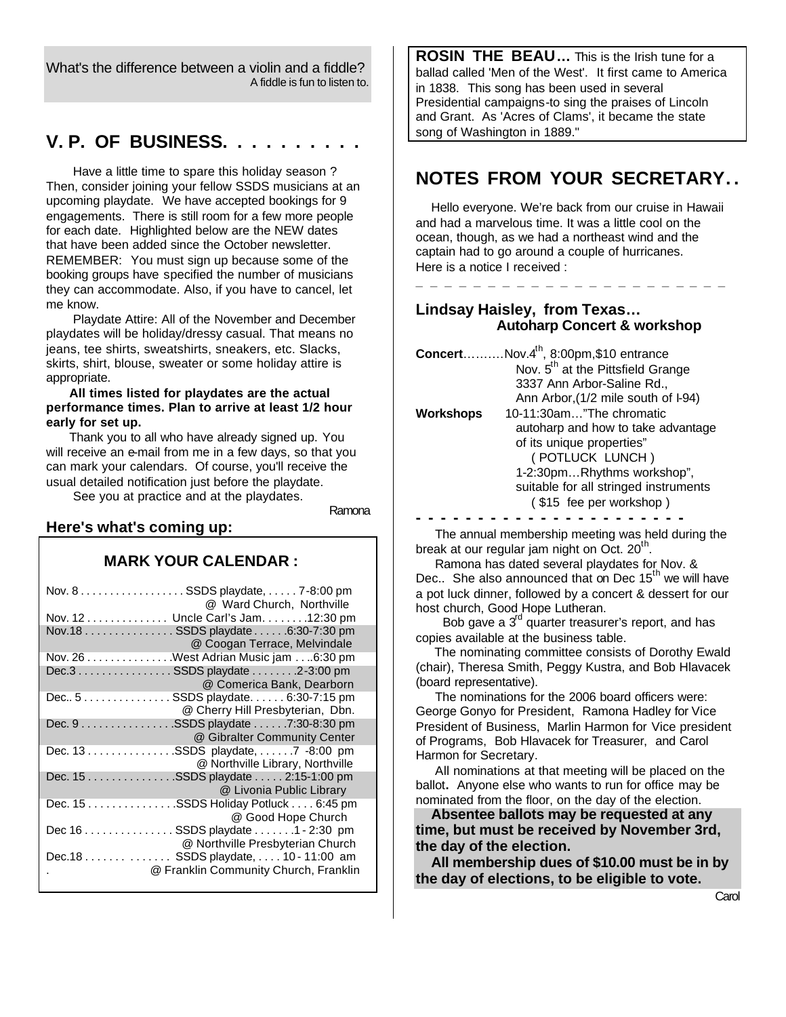What's the difference between a violin and a fiddle? A fiddle is fun to listen to.

### **V. P. OF BUSINESS. . . . . . . . . .**

 Have a little time to spare this holiday season ? Then, consider joining your fellow SSDS musicians at an upcoming playdate. We have accepted bookings for 9 engagements. There is still room for a few more people for each date. Highlighted below are the NEW dates that have been added since the October newsletter. REMEMBER: You must sign up because some of the booking groups have specified the number of musicians they can accommodate. Also, if you have to cancel, let me know.

 Playdate Attire: All of the November and December playdates will be holiday/dressy casual. That means no jeans, tee shirts, sweatshirts, sneakers, etc. Slacks, skirts, shirt, blouse, sweater or some holiday attire is appropriate.

#### **All times listed for playdates are the actual performance times. Plan to arrive at least 1/2 hour early for set up.**

 Thank you to all who have already signed up. You will receive an e-mail from me in a few days, so that you can mark your calendars. Of course, you'll receive the usual detailed notification just before the playdate.

See you at practice and at the playdates.

Ramona

#### **Here's what's coming up:**

#### **MARK YOUR CALENDAR :**

| Nov. 8 SSDS playdate, 7-8:00 pm<br>@ Ward Church, Northville      |
|-------------------------------------------------------------------|
| Nov. 12 Uncle Carl's Jam. 12:30 pm                                |
| Nov.18 SSDS playdate 6:30-7:30 pm<br>@ Coogan Terrace, Melvindale |
| Nov. 26 West Adrian Music jam 6:30 pm                             |
| Dec.3 SSDS playdate 2-3:00 pm                                     |
| @ Comerica Bank, Dearborn                                         |
| Dec 5 SSDS playdate. 6:30-7:15 pm                                 |
| @ Cherry Hill Presbyterian, Dbn.                                  |
| Dec. 9 SSDS playdate 7:30-8:30 pm                                 |
| @ Gibralter Community Center                                      |
| Dec. 13 SSDS playdate, 7 -8:00 pm                                 |
| @ Northville Library, Northville                                  |
| Dec. 15 SSDS playdate 2:15-1:00 pm                                |
| @ Livonia Public Library                                          |
| Dec. 15 SSDS Holiday Potluck  6:45 pm                             |
| @ Good Hope Church                                                |
| Dec 16 SSDS playdate 1 - 2:30 pm                                  |
| @ Northville Presbyterian Church                                  |
| Dec.18 SSDS playdate,  10 - 11:00 am                              |
| @ Franklin Community Church, Franklin                             |
|                                                                   |

**ROSIN THE BEAU…** This is the Irish tune for a ballad called 'Men of the West'. It first came to America in 1838. This song has been used in several Presidential campaigns-to sing the praises of Lincoln and Grant. As 'Acres of Clams', it became the state song of Washington in 1889."

# **NOTES FROM YOUR SECRETARY. .**

 Hello everyone. We're back from our cruise in Hawaii and had a marvelous time. It was a little cool on the ocean, though, as we had a northeast wind and the captain had to go around a couple of hurricanes. Here is a notice I received :

**\_ \_ \_ \_ \_ \_ \_ \_ \_ \_ \_ \_ \_ \_ \_ \_ \_ \_ \_ \_ \_ \_** 

#### **Lindsay Haisley, from Texas… Autoharp Concert & workshop**

| <b>Concert</b> Nov. $4^{th}$ , 8:00pm, \$10 entrance |                                               |  |  |  |
|------------------------------------------------------|-----------------------------------------------|--|--|--|
|                                                      | Nov. 5 <sup>th</sup> at the Pittsfield Grange |  |  |  |
|                                                      | 3337 Ann Arbor-Saline Rd.,                    |  |  |  |
|                                                      | Ann Arbor, (1/2 mile south of I-94)           |  |  |  |
| <b>Workshops</b>                                     | 10-11:30am"The chromatic                      |  |  |  |
|                                                      | autoharp and how to take advantage            |  |  |  |
|                                                      | of its unique properties"                     |  |  |  |
|                                                      | (POTLUCK LUNCH)                               |  |  |  |
|                                                      | 1-2:30pmRhythms workshop",                    |  |  |  |
|                                                      | suitable for all stringed instruments         |  |  |  |
|                                                      | (\$15 fee per workshop)                       |  |  |  |

**- - - - - - - - - - - - - - - - - - - - - -**

 The annual membership meeting was held during the break at our regular jam night on Oct.  $20^{th}$ .

 Ramona has dated several playdates for Nov. & Dec.. She also announced that on Dec 15<sup>th</sup> we will have a pot luck dinner, followed by a concert & dessert for our host church, Good Hope Lutheran.

Bob gave a 3<sup>rd</sup> quarter treasurer's report, and has copies available at the business table.

 The nominating committee consists of Dorothy Ewald (chair), Theresa Smith, Peggy Kustra, and Bob Hlavacek (board representative).

 The nominations for the 2006 board officers were: George Gonyo for President, Ramona Hadley for Vice President of Business, Marlin Harmon for Vice president of Programs, Bob Hlavacek for Treasurer, and Carol Harmon for Secretary.

 All nominations at that meeting will be placed on the ballot**.** Anyone else who wants to run for office may be nominated from the floor, on the day of the election.

 **Absentee ballots may be requested at any time, but must be received by November 3rd, the day of the election.**

 **All membership dues of \$10.00 must be in by the day of elections, to be eligible to vote.**

**Carol Carol** Carol Carol Carol Carol Carol Carol Carol Carol Carol Carol Carol Carol Carol Carol Carol Carol Carol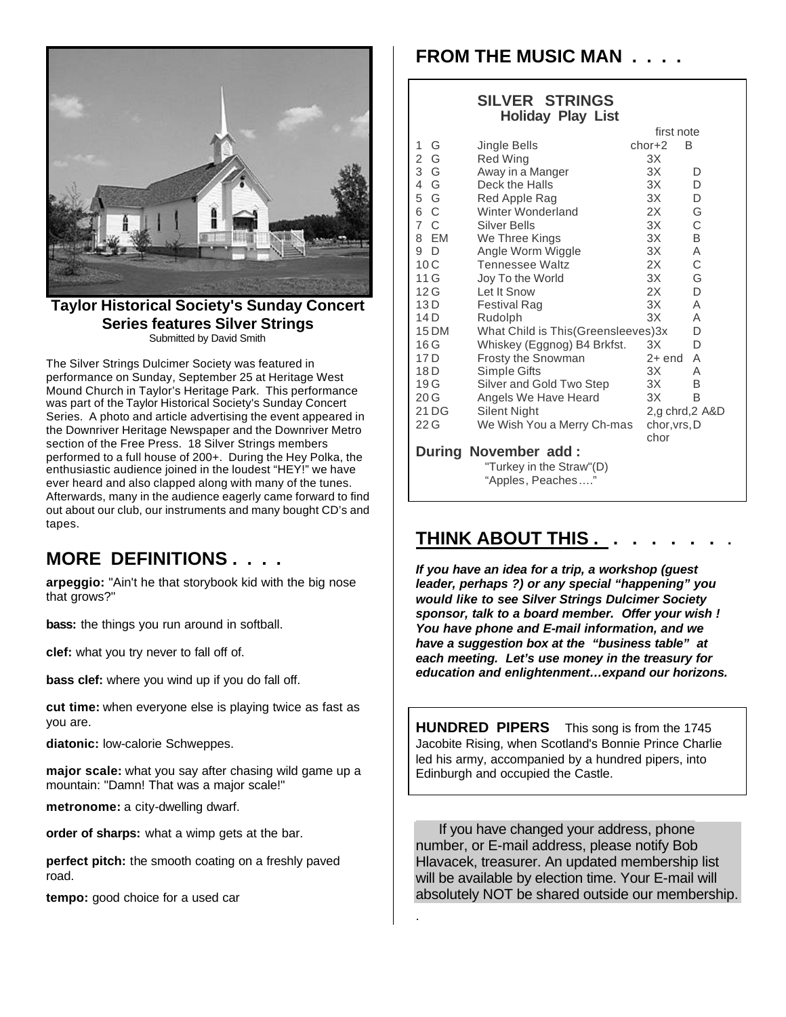

**Taylor Historical Society's Sunday Concert Series features Silver Strings** Submitted by David Smith

The Silver Strings Dulcimer Society was featured in performance on Sunday, September 25 at Heritage West Mound Church in Taylor's Heritage Park. This performance was part of the Taylor Historical Society's Sunday Concert Series. A photo and article advertising the event appeared in the Downriver Heritage Newspaper and the Downriver Metro section of the Free Press. 18 Silver Strings members performed to a full house of 200+. During the Hey Polka, the enthusiastic audience joined in the loudest "HEY!" we have ever heard and also clapped along with many of the tunes. Afterwards, many in the audience eagerly came forward to find out about our club, our instruments and many bought CD's and tapes.

## **MORE DEFINITIONS . . . .**

**arpeggio:** "Ain't he that storybook kid with the big nose that grows?"

**bass:** the things you run around in softball.

**clef:** what you try never to fall off of.

**bass clef:** where you wind up if you do fall off.

**cut time:** when everyone else is playing twice as fast as you are.

**diatonic:** low-calorie Schweppes.

**major scale:** what you say after chasing wild game up a mountain: "Damn! That was a major scale!"

**metronome:** a city-dwelling dwarf.

**order of sharps:** what a wimp gets at the bar.

**perfect pitch:** the smooth coating on a freshly paved road.

**tempo:** good choice for a used car

# **FROM THE MUSIC MAN . . . .**

#### **SILVER STRINGS Holiday Play List**

|          | During November add:                 |              |                |
|----------|--------------------------------------|--------------|----------------|
|          |                                      | chor         |                |
| 22 G     | We Wish You a Merry Ch-mas           | chor, vrs, D |                |
| 21 DG    | Silent Night                         |              | 2,g chrd,2 A&D |
| 20G      | Angels We Have Heard                 | ЗΧ           | Β              |
| 19 G     | Silver and Gold Two Step             | ЗΧ.          | B              |
| 18 D     | Simple Gifts                         | ЗΧ           | Α              |
| 17 D     | Frosty the Snowman                   | $2+$ end     | A              |
| 16G      | Whiskey (Eggnog) B4 Brkfst.          | ЗΧ           | D              |
| 15 DM    | What Child is This (Greensleeves) 3x |              | D              |
| 14 D     | Rudolph                              | 3X           | Α              |
| 13 D     | Festival Rag                         | 3X           | A              |
| 12 G     | Let It Snow                          | 2X           | D              |
| 11 G     | Joy To the World                     | 3X           | G              |
| 10C      | <b>Tennessee Waltz</b>               | 2X           | C              |
| 9<br>D   | Angle Worm Wiggle                    | 3X           | A              |
| EM<br>8  | We Three Kings                       | 3X           | B              |
| 7<br>- C | Silver Bells                         | 3X           | C              |
| - C<br>6 | Winter Wonderland                    | 2X           | G              |
| 5<br>G   | Red Apple Rag                        | 3X           | D              |
| G<br>4   | Deck the Halls                       | 3X           | D              |
| 3<br>G   | Away in a Manger                     | 3X           | D              |
| G<br>2   | Red Wing                             | ЗΧ           |                |
| G<br>1   | Jingle Bells                         | $chor+2$     | B              |
|          | first note                           |              |                |

 "Turkey in the Straw"(D) "Apples, Peaches…."

# **THINK ABOUT THIS .**

*If you have an idea for a trip, a workshop (guest leader, perhaps ?) or any special "happening" you would like to see Silver Strings Dulcimer Society sponsor, talk to a board member. Offer your wish ! You have phone and E-mail information, and we have a suggestion box at the "business table" at each meeting. Let's use money in the treasury for education and enlightenment…expand our horizons.*

**HUNDRED PIPERS** This song is from the 1745 Jacobite Rising, when Scotland's Bonnie Prince Charlie led his army, accompanied by a hundred pipers, into Edinburgh and occupied the Castle.

 If you have changed your address, phone number, or E-mail address, please notify Bob Hlavacek, treasurer. An updated membership list will be available by election time. Your E-mail will absolutely NOT be shared outside our membership.

.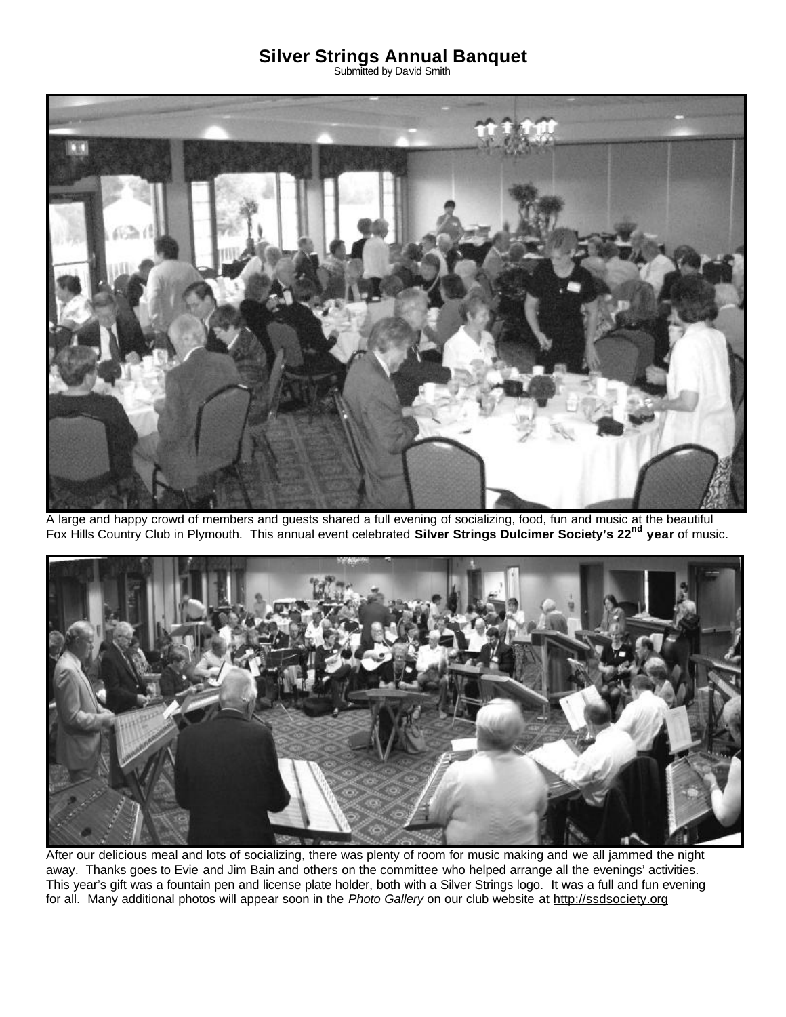### **Silver Strings Annual Banquet**

Submitted by David Smith



A large and happy crowd of members and guests shared a full evening of socializing, food, fun and music at the beautiful Fox Hills Country Club in Plymouth. This annual event celebrated **Silver Strings Dulcimer Society's 22nd year** of music.



After our delicious meal and lots of socializing, there was plenty of room for music making and we all jammed the night away. Thanks goes to Evie and Jim Bain and others on the committee who helped arrange all the evenings' activities. This year's gift was a fountain pen and license plate holder, both with a Silver Strings logo. It was a full and fun evening for all. Many additional photos will appear soon in the *Photo Gallery* on our club website at http://ssdsociety.org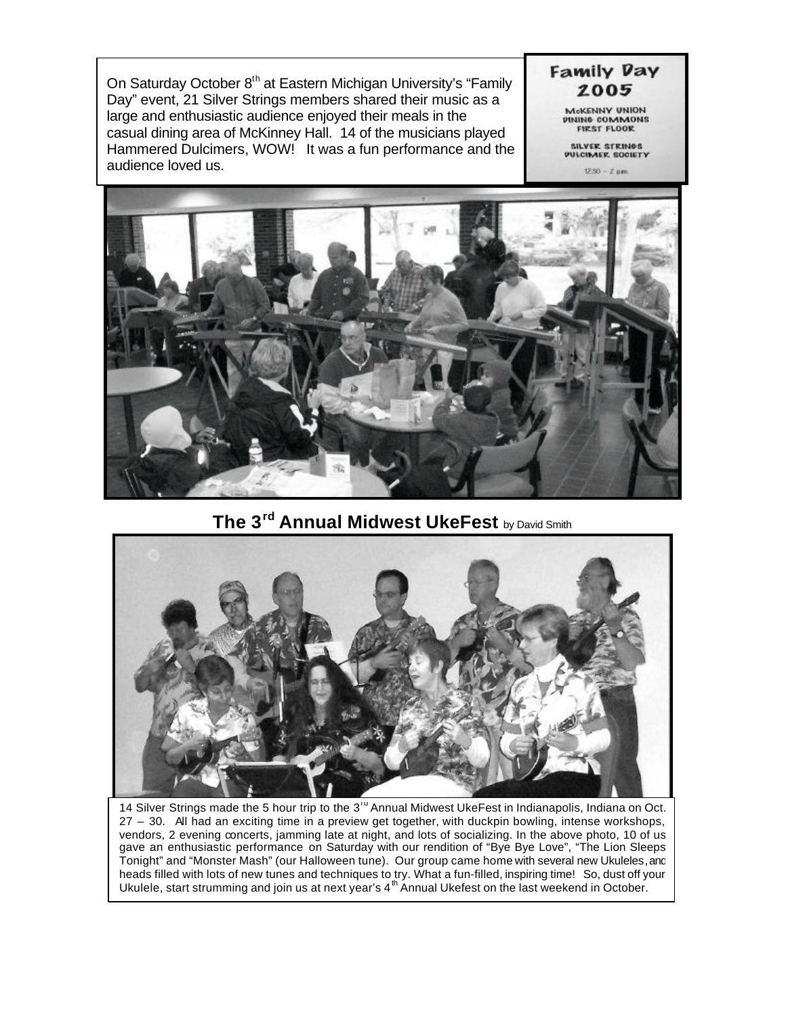On Saturday October 8<sup>th</sup> at Eastern Michigan University's "Family Day" event, 21 Silver Strings members shared their music as a large and enthusiastic audience enjoyed their meals in the casual dining area of McKinney Hall. 14 of the musicians played Hammered Dulcimers, WOW! It was a fun performance and the audience loved us.

McKENNY UNION<br>DINING COMMONS **FIRST FLOOR** 

**Family Day** 2005

> SILVER STRINGS<br>PULCIMER SOCIETY  $1250 - Z \, \text{pm}$



### **The 3rd Annual Midwest UkeFest** by David Smith



14 Silver Strings made the 5 hour trip to the 3<sup>rd</sup> Annual Midwest UkeFest in Indianapolis, Indiana on Oct. 27 – 30. All had an exciting time in a preview get together, with duckpin bowling, intense workshops, vendors, 2 evening concerts, jamming late at night, and lots of socializing. In the above photo, 10 of us gave an enthusiastic performance on Saturday with our rendition of "Bye Bye Love", "The Lion Sleeps Tonight" and "Monster Mash" (our Halloween tune). Our group came home with several new Ukuleles, and heads filled with lots of new tunes and techniques to try. What a fun-filled, inspiring time! So, dust off your Ukulele, start strumming and join us at next year's  $4<sup>th</sup>$  Annual Ukefest on the last weekend in October.